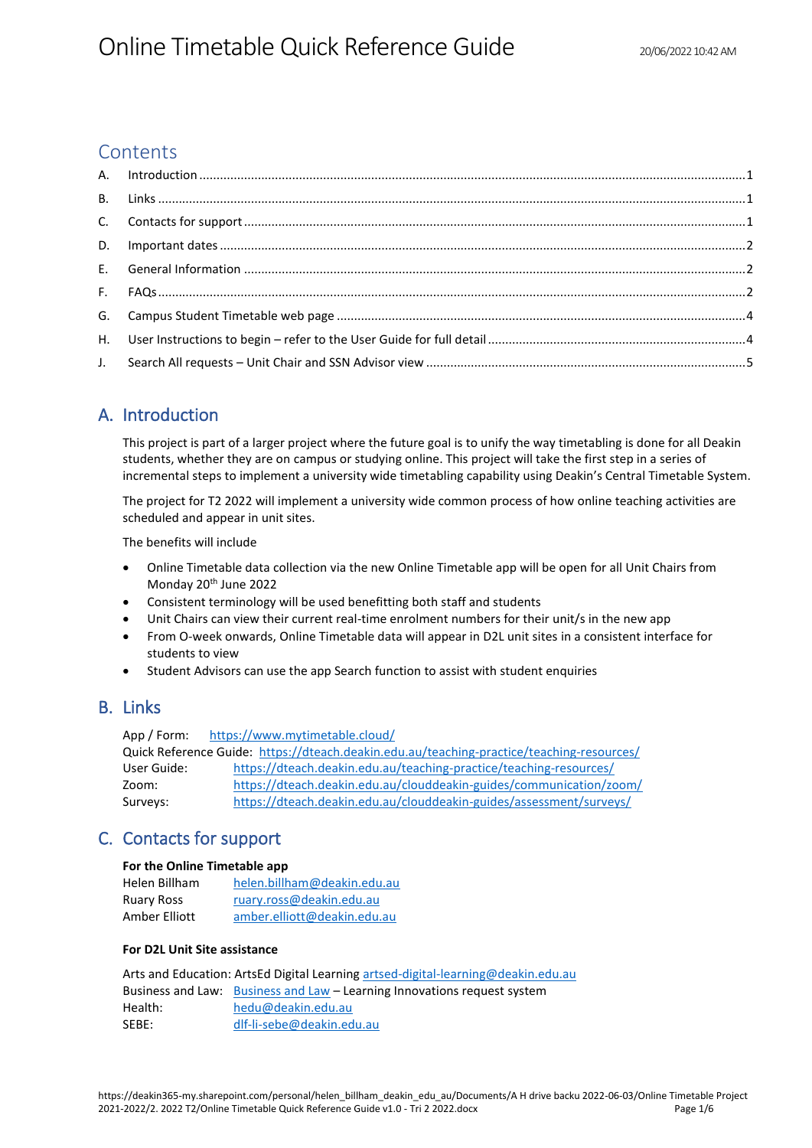## **Contents**

# <span id="page-0-0"></span>A. Introduction

This project is part of a larger project where the future goal is to unify the way timetabling is done for all Deakin students, whether they are on campus or studying online. This project will take the first step in a series of incremental steps to implement a university wide timetabling capability using Deakin's Central Timetable System.

The project for T2 2022 will implement a university wide common process of how online teaching activities are scheduled and appear in unit sites.

The benefits will include

- Online Timetable data collection via the new Online Timetable app will be open for all Unit Chairs from Monday 20<sup>th</sup> June 2022
- Consistent terminology will be used benefitting both staff and students
- Unit Chairs can view their current real-time enrolment numbers for their unit/s in the new app
- From O-week onwards, Online Timetable data will appear in D2L unit sites in a consistent interface for students to view
- Student Advisors can use the app Search function to assist with student enquiries

## <span id="page-0-1"></span>B. Links

App / Form: <https://www.mytimetable.cloud/> Quick Reference Guide: <https://dteach.deakin.edu.au/teaching-practice/teaching-resources/> User Guide: <https://dteach.deakin.edu.au/teaching-practice/teaching-resources/> Zoom: <https://dteach.deakin.edu.au/clouddeakin-guides/communication/zoom/> Surveys: <https://dteach.deakin.edu.au/clouddeakin-guides/assessment/surveys/>

# <span id="page-0-2"></span>C. Contacts for support

#### **For the Online Timetable app**

| Helen Billham | helen.billham@deakin.edu.au |
|---------------|-----------------------------|
| Ruary Ross    | ruary.ross@deakin.edu.au    |
| Amber Elliott | amber.elliott@deakin.edu.au |

### **For D2L Unit Site assistance**

Arts and Education: ArtsEd Digital Learning [artsed-digital-learning@deakin.edu.au](mailto:artsed-digital-learning@deakin.edu.au)

|         | Business and Law: Business and Law – Learning Innovations request system |
|---------|--------------------------------------------------------------------------|
| Health: | hedu@deakin.edu.au                                                       |
| SEBE:   | dlf-li-sebe@deakin.edu.au                                                |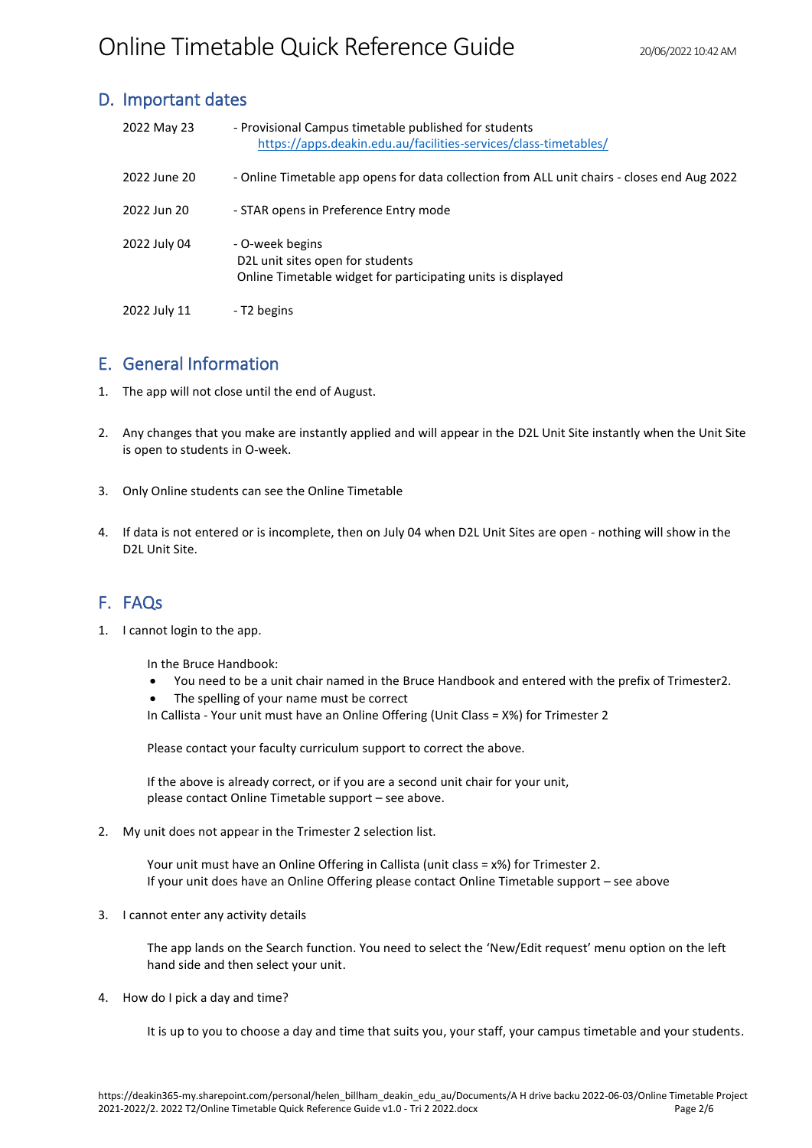## <span id="page-1-0"></span>D. Important dates

| 2022 May 23  | - Provisional Campus timetable published for students<br>https://apps.deakin.edu.au/facilities-services/class-timetables/ |
|--------------|---------------------------------------------------------------------------------------------------------------------------|
| 2022 June 20 | - Online Timetable app opens for data collection from ALL unit chairs - closes end Aug 2022                               |
| 2022 Jun 20  | - STAR opens in Preference Entry mode                                                                                     |
| 2022 July 04 | - O-week begins<br>D2L unit sites open for students<br>Online Timetable widget for participating units is displayed       |
| 2022 July 11 | - T2 begins                                                                                                               |

## <span id="page-1-1"></span>E. General Information

- 1. The app will not close until the end of August.
- 2. Any changes that you make are instantly applied and will appear in the D2L Unit Site instantly when the Unit Site is open to students in O-week.
- 3. Only Online students can see the Online Timetable
- 4. If data is not entered or is incomplete, then on July 04 when D2L Unit Sites are open nothing will show in the D2L Unit Site.

# <span id="page-1-2"></span>F. FAQs

1. I cannot login to the app.

In the Bruce Handbook:

- You need to be a unit chair named in the Bruce Handbook and entered with the prefix of Trimester2.
- The spelling of your name must be correct
- In Callista Your unit must have an Online Offering (Unit Class = X%) for Trimester 2

Please contact your faculty curriculum support to correct the above.

If the above is already correct, or if you are a second unit chair for your unit, please contact Online Timetable support – see above.

2. My unit does not appear in the Trimester 2 selection list.

Your unit must have an Online Offering in Callista (unit class = x%) for Trimester 2. If your unit does have an Online Offering please contact Online Timetable support – see above

3. I cannot enter any activity details

The app lands on the Search function. You need to select the 'New/Edit request' menu option on the left hand side and then select your unit.

4. How do I pick a day and time?

It is up to you to choose a day and time that suits you, your staff, your campus timetable and your students.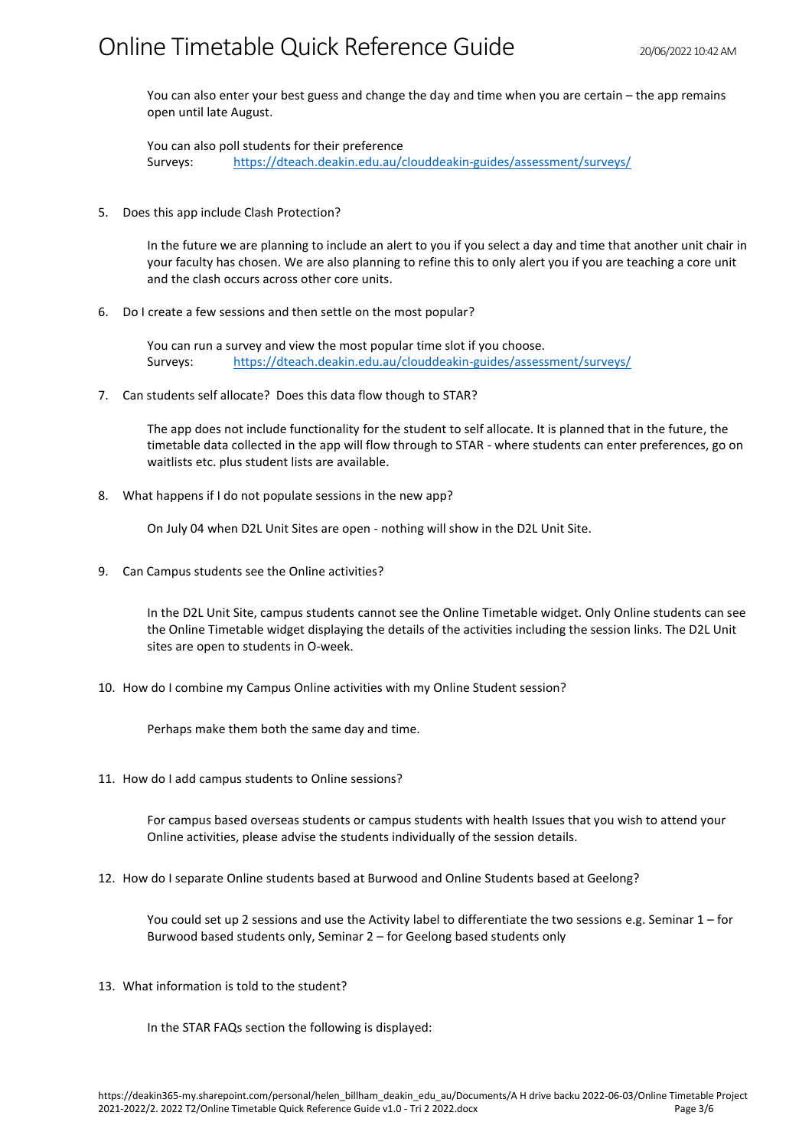You can also enter your best guess and change the day and time when you are certain – the app remains open until late August.

You can also poll students for their preference Surveys: <https://dteach.deakin.edu.au/clouddeakin-guides/assessment/surveys/>

5. Does this app include Clash Protection?

In the future we are planning to include an alert to you if you select a day and time that another unit chair in your faculty has chosen. We are also planning to refine this to only alert you if you are teaching a core unit and the clash occurs across other core units.

6. Do I create a few sessions and then settle on the most popular?

You can run a survey and view the most popular time slot if you choose. Surveys: <https://dteach.deakin.edu.au/clouddeakin-guides/assessment/surveys/>

7. Can students self allocate? Does this data flow though to STAR?

The app does not include functionality for the student to self allocate. It is planned that in the future, the timetable data collected in the app will flow through to STAR - where students can enter preferences, go on waitlists etc. plus student lists are available.

8. What happens if I do not populate sessions in the new app?

On July 04 when D2L Unit Sites are open - nothing will show in the D2L Unit Site.

9. Can Campus students see the Online activities?

In the D2L Unit Site, campus students cannot see the Online Timetable widget. Only Online students can see the Online Timetable widget displaying the details of the activities including the session links. The D2L Unit sites are open to students in O-week.

10. How do I combine my Campus Online activities with my Online Student session?

Perhaps make them both the same day and time.

11. How do I add campus students to Online sessions?

For campus based overseas students or campus students with health Issues that you wish to attend your Online activities, please advise the students individually of the session details.

12. How do I separate Online students based at Burwood and Online Students based at Geelong?

You could set up 2 sessions and use the Activity label to differentiate the two sessions e.g. Seminar 1 – for Burwood based students only, Seminar 2 – for Geelong based students only

13. What information is told to the student?

In the STAR FAQs section the following is displayed: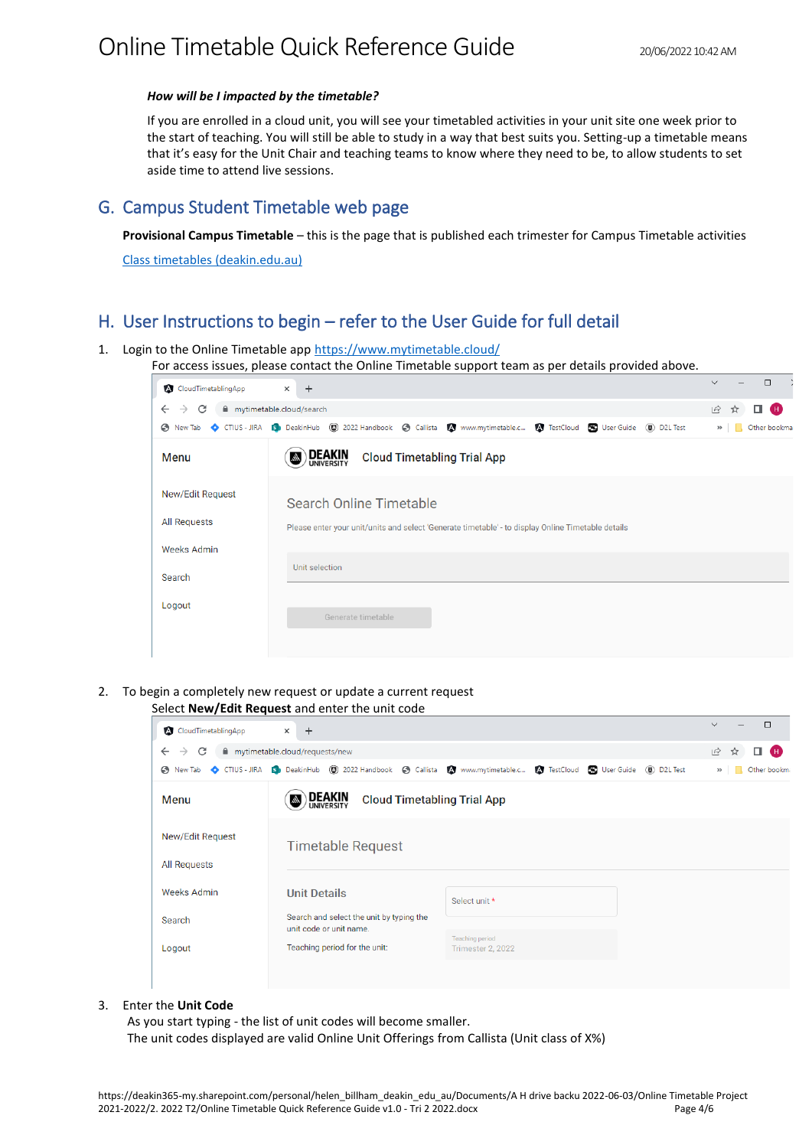#### *How will be I impacted by the timetable?*

If you are enrolled in a cloud unit, you will see your timetabled activities in your unit site one week prior to the start of teaching. You will still be able to study in a way that best suits you. Setting-up a timetable means that it's easy for the Unit Chair and teaching teams to know where they need to be, to allow students to set aside time to attend live sessions.

### <span id="page-3-0"></span>G. Campus Student Timetable web page

**Provisional Campus Timetable** – this is the page that is published each trimester for Campus Timetable activities

Class timetables (deakin.edu.au)

# <span id="page-3-1"></span>H. User Instructions to begin – refer to the User Guide for full detail

1. Login to the Online Timetable app https://www.mytimetable.cloud/

For access issues, please contact the Online Timetable support team as per details provided above.

| $+$<br>$\times$                                                                                                               | $\Box$<br>$\checkmark$   |
|-------------------------------------------------------------------------------------------------------------------------------|--------------------------|
| mytimetable.cloud/search                                                                                                      | $\vec{P}$<br>п<br>Œ<br>☆ |
| ◆ New Tab ◆ CTIUS - JIRA Bib DeakinHub (3) 2022 Handbook ◆ Callista ▲ www.mytimetable.c ▲ TestCloud < User Guide (8) D2L Test | Other bookma<br>$\gg$    |
| <b>DEAKIN</b><br><b>Cloud Timetabling Trial App</b><br>ln.                                                                    |                          |
| Search Online Timetable                                                                                                       |                          |
| Please enter your unit/units and select 'Generate timetable' - to display Online Timetable details                            |                          |
|                                                                                                                               |                          |
| Unit selection                                                                                                                |                          |
| Generate timetable                                                                                                            |                          |
|                                                                                                                               |                          |

2. To begin a completely new request or update a current request Select **New/Edit Request** and enter the unit code

| <b>A</b> CloudTimetablingApp            | $+$<br>$\times$                                            |                                                                                                                          | $\Box$<br>$\checkmark$  |
|-----------------------------------------|------------------------------------------------------------|--------------------------------------------------------------------------------------------------------------------------|-------------------------|
| C<br>$\rightarrow$<br>$\leftarrow$      | mytimetable.cloud/requests/new                             |                                                                                                                          | $\beta$<br>Œ<br>α.<br>☆ |
| New Tab                                 |                                                            | CTIUS - JIRA 19 DeakinHub (3) 2022 Handbook (3) Callista (3) www.mytimetable.c (3) TestCloud (5) User Guide (8) D2L Test | Other bookma<br>$\gg$   |
| <b>Menu</b>                             | <b>DEAKIN</b><br><b>Cloud Timetabling Trial App</b><br>lh. |                                                                                                                          |                         |
| New/Edit Request<br><b>All Requests</b> | <b>Timetable Request</b>                                   |                                                                                                                          |                         |
|                                         |                                                            |                                                                                                                          |                         |
| <b>Weeks Admin</b>                      | <b>Unit Details</b>                                        | Select unit *                                                                                                            |                         |
| Search                                  | Search and select the unit by typing the                   |                                                                                                                          |                         |
| Logout                                  | unit code or unit name.<br>Teaching period for the unit:   | <b>Teaching period</b><br>Trimester 2, 2022                                                                              |                         |
|                                         |                                                            |                                                                                                                          |                         |

#### 3. Enter the **Unit Code**

As you start typing - the list of unit codes will become smaller. The unit codes displayed are valid Online Unit Offerings from Callista (Unit class of X%)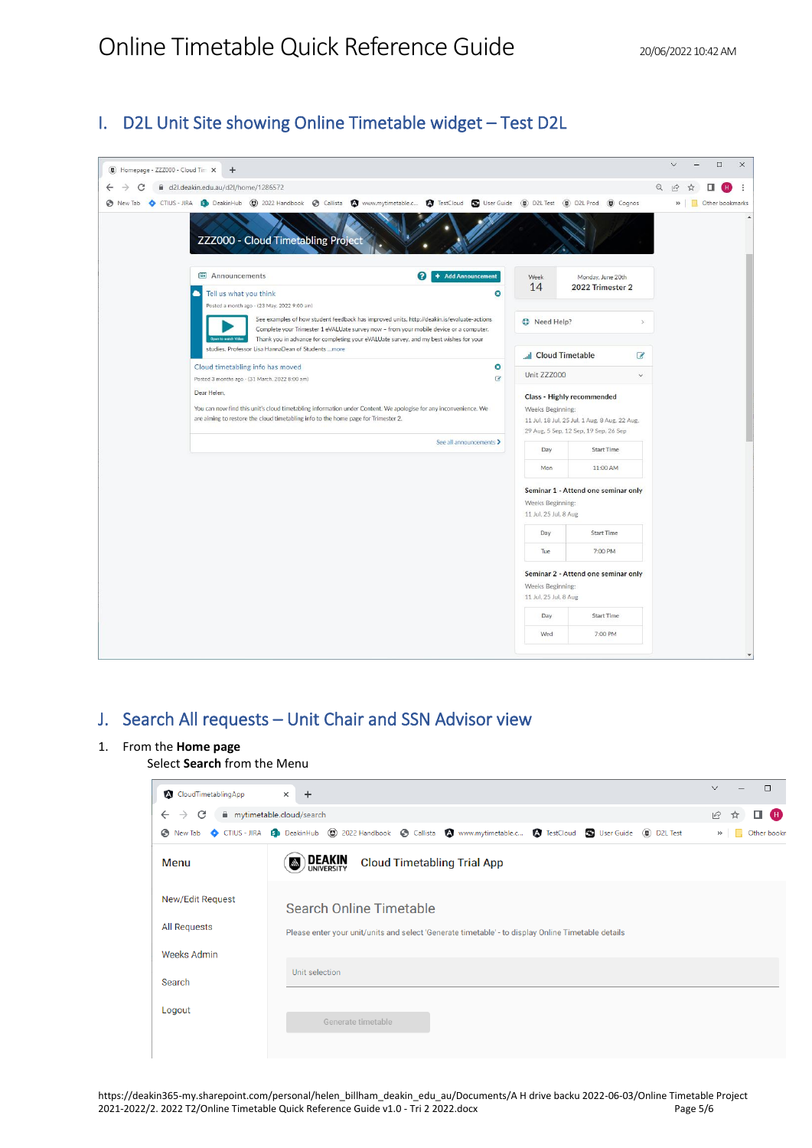# I. D2L Unit Site showing Online Timetable widget – Test D2L

|         | Homepage - ZZZ000 - Cloud Tim X<br>$+$                                                                                                                                                                 |                                                                                                                                                                                                                                                                               |                                           |                                                                                        |               |          | $\Box$          | $\times$ |
|---------|--------------------------------------------------------------------------------------------------------------------------------------------------------------------------------------------------------|-------------------------------------------------------------------------------------------------------------------------------------------------------------------------------------------------------------------------------------------------------------------------------|-------------------------------------------|----------------------------------------------------------------------------------------|---------------|----------|-----------------|----------|
| ←       | d2l.deakin.edu.au/d2l/home/1286572                                                                                                                                                                     |                                                                                                                                                                                                                                                                               |                                           |                                                                                        |               | $\Theta$ |                 |          |
| New Tab | CTIUS - JIRA ED DeakinHub (C) 2022 Handbook @ Callista (C) www.mytimetable.c (C) TestCloud (C) UserGuide (D) D2L Test (C) D2L Prod (C) Cognos                                                          |                                                                                                                                                                                                                                                                               |                                           |                                                                                        |               |          | Other bookmarks |          |
|         | ZZZ000 - Cloud Timetabling Project                                                                                                                                                                     |                                                                                                                                                                                                                                                                               |                                           |                                                                                        |               |          |                 |          |
|         | 图 Announcements                                                                                                                                                                                        | + Add Announcement<br>ଵ                                                                                                                                                                                                                                                       | Week                                      | Monday, June 20th                                                                      |               |          |                 |          |
|         | Tell us what you think                                                                                                                                                                                 | O                                                                                                                                                                                                                                                                             | 14                                        | 2022 Trimester 2                                                                       |               |          |                 |          |
|         | Posted a month ago - (23 May, 2022 9:00 am)                                                                                                                                                            |                                                                                                                                                                                                                                                                               |                                           |                                                                                        |               |          |                 |          |
|         | Open to watch Video                                                                                                                                                                                    | See examples of how student feedback has improved units. http://deakin.is/evaluate-actions<br>Complete your Trimester 1 eVALUate survey now - from your mobile device or a computer.<br>Thank you in advance for completing your eVALUate survey, and my best wishes for your | <b>D</b> Need Help?                       |                                                                                        | $\mathcal{P}$ |          |                 |          |
|         | studies. Professor Lisa HannaDean of Students  more                                                                                                                                                    |                                                                                                                                                                                                                                                                               | <b>Juli Cloud Timetable</b>               |                                                                                        | $\mathcal{C}$ |          |                 |          |
|         | Cloud timetabling info has moved<br>Posted 3 months ago - (31 March, 2022 8:00 am)                                                                                                                     | O<br>$\alpha$                                                                                                                                                                                                                                                                 | Unit ZZZ000                               |                                                                                        | $\checkmark$  |          |                 |          |
|         | Dear Helen.                                                                                                                                                                                            |                                                                                                                                                                                                                                                                               |                                           | Class - Highly recommended                                                             |               |          |                 |          |
|         | You can now find this unit's cloud timetabling information under Content. We apologise for any inconvenience. We<br>are aiming to restore the cloud timetabling info to the home page for Trimester 2. |                                                                                                                                                                                                                                                                               | Weeks Beginning:                          |                                                                                        |               |          |                 |          |
|         |                                                                                                                                                                                                        |                                                                                                                                                                                                                                                                               |                                           | 11 Jul, 18 Jul, 25 Jul, 1 Aug, 8 Aug, 22 Aug,<br>29 Aug, 5 Sep, 12 Sep, 19 Sep, 26 Sep |               |          |                 |          |
|         |                                                                                                                                                                                                        | See all announcements >                                                                                                                                                                                                                                                       | Day                                       | <b>Start Time</b>                                                                      |               |          |                 |          |
|         |                                                                                                                                                                                                        |                                                                                                                                                                                                                                                                               | Mon                                       | 11:00 AM                                                                               |               |          |                 |          |
|         |                                                                                                                                                                                                        |                                                                                                                                                                                                                                                                               |                                           | Seminar 1 - Attend one seminar only                                                    |               |          |                 |          |
|         |                                                                                                                                                                                                        |                                                                                                                                                                                                                                                                               | Weeks Beginning:<br>11 Jul, 25 Jul, 8 Aug |                                                                                        |               |          |                 |          |
|         |                                                                                                                                                                                                        |                                                                                                                                                                                                                                                                               | Day                                       | <b>Start Time</b>                                                                      |               |          |                 |          |
|         |                                                                                                                                                                                                        |                                                                                                                                                                                                                                                                               | Tue                                       | 7:00 PM                                                                                |               |          |                 |          |
|         |                                                                                                                                                                                                        |                                                                                                                                                                                                                                                                               | Weeks Beginning:<br>11 Jul, 25 Jul, 8 Aug | Seminar 2 - Attend one seminar only                                                    |               |          |                 |          |
|         |                                                                                                                                                                                                        |                                                                                                                                                                                                                                                                               | Day                                       | <b>Start Time</b>                                                                      |               |          |                 |          |
|         |                                                                                                                                                                                                        |                                                                                                                                                                                                                                                                               | Wed                                       | 7:00 PM                                                                                |               |          |                 |          |

# <span id="page-4-0"></span>J. Search All requests – Unit Chair and SSN Advisor view

### 1. From the **Home page**

Select **Search** from the Menu

| <b>A</b> CloudTimetablingApp       | $+$<br>$\times$                                                                                                              | П<br>$\vee$             |
|------------------------------------|------------------------------------------------------------------------------------------------------------------------------|-------------------------|
| C<br>$\leftarrow$<br>$\rightarrow$ | mytimetable.cloud/search                                                                                                     | Ð<br>$\beta$<br>☆<br>п. |
|                                    | A New Tab C CTIUS - JIRA ED DeakinHub (2) 2022 Handbook C Callista 2 www.mytimetable.c 2 TestCloud C User Guide (2) D2L Test | Other book<br>$^{35}$   |
| Menu                               | <b>DEAKIN</b><br><b>Cloud Timetabling Trial App</b><br>hh.                                                                   |                         |
| New/Edit Request                   | Search Online Timetable                                                                                                      |                         |
| <b>All Requests</b>                | Please enter your unit/units and select 'Generate timetable' - to display Online Timetable details                           |                         |
| <b>Weeks Admin</b>                 |                                                                                                                              |                         |
| Search                             | Unit selection                                                                                                               |                         |
| Logout                             | Generate timetable                                                                                                           |                         |

https://deakin365-my.sharepoint.com/personal/helen\_billham\_deakin\_edu\_au/Documents/A H drive backu 2022-06-03/Online Timetable Project 2021-2022/2. 2022 T2/Online Timetable Quick Reference Guide v1.0 - Tri 2 2022.docx Page 5/6